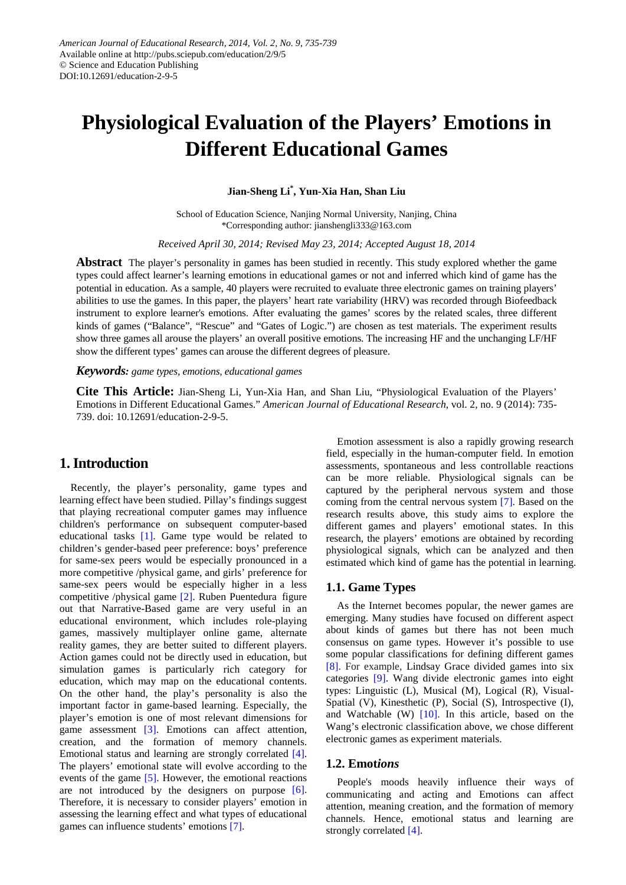# **Physiological Evaluation of the Players' Emotions in Different Educational Games**

**Jian-Sheng Li\* , Yun-Xia Han, Shan Liu**

School of Education Science, Nanjing Normal University, Nanjing, China \*Corresponding author: jianshengli333@163.com

*Received April 30, 2014; Revised May 23, 2014; Accepted August 18, 2014*

**Abstract** The player's personality in games has been studied in recently. This study explored whether the game types could affect learner's learning emotions in educational games or not and inferred which kind of game has the potential in education. As a sample, 40 players were recruited to evaluate three electronic games on training players' abilities to use the games. In this paper, the players' heart rate variability (HRV) was recorded through Biofeedback instrument to explore learner's emotions. After evaluating the games' scores by the related scales, three different kinds of games ("Balance", "Rescue" and "Gates of Logic.") are chosen as test materials. The experiment results show three games all arouse the players' an overall positive emotions. The increasing HF and the unchanging LF/HF show the different types' games can arouse the different degrees of pleasure.

*Keywords: game types, emotions, educational games*

**Cite This Article:** Jian-Sheng Li, Yun-Xia Han, and Shan Liu, "Physiological Evaluation of the Players' Emotions in Different Educational Games." *American Journal of Educational Research*, vol. 2, no. 9 (2014): 735- 739. doi: 10.12691/education-2-9-5.

#### **1. Introduction**

Recently, the player's personality, game types and learning effect have been studied. Pillay's findings suggest that playing recreational computer games may influence children's performance on subsequent computer-based educational tasks [\[1\].](#page-3-0) Game type would be related to children's gender-based peer preference: boys' preference for same-sex peers would be especially pronounced in a more competitive /physical game, and girls' preference for same-sex peers would be especially higher in a less competitive /physical game [\[2\].](#page-3-1) Ruben Puentedura figure out that Narrative-Based game are very useful in an educational environment, which includes role-playing games, massively multiplayer online game, alternate reality games, they are better suited to different players. Action games could not be directly used in education, but simulation games is particularly rich category for education, which may map on the educational contents. On the other hand, the play's personality is also the important factor in game-based learning. Especially, the player's emotion is one of most relevant dimensions for game assessment [\[3\].](#page-3-2) Emotions can affect attention, creation, and the formation of memory channels. Emotional status and learning are strongly correlated [\[4\]](#page-3-3)*.* The players' emotional state will evolve according to the events of the game [\[5\].](#page-3-4) However, the emotional reactions are not introduced by the designers on purpose [\[6\].](#page-3-5) Therefore, it is necessary to consider players' emotion in assessing the learning effect and what types of educational games can influence students' emotion[s \[7\].](#page-3-6)

Emotion assessment is also a rapidly growing research field, especially in the human-computer field. In emotion assessments, spontaneous and less controllable reactions can be more reliable. Physiological signals can be captured by the peripheral nervous system and those coming from the central nervous system [\[7\].](#page-3-6) Based on the research results above, this study aims to explore the different games and players' emotional states. In this research, the players' emotions are obtained by recording physiological signals, which can be analyzed and then estimated which kind of game has the potential in learning.

#### **1.1. Game Types**

As the Internet becomes popular, the newer games are emerging. Many studies have focused on different aspect about kinds of games but there has not been much consensus on game types. However it's possible to use some popular classifications for defining different games [\[8\].](#page-3-7) For example, Lindsay Grace divided games into six categories [\[9\].](#page-3-8) Wang divide electronic games into eight types: Linguistic (L), Musical (M), Logical (R), Visual-Spatial (V), Kinesthetic (P), Social (S), Introspective (I), and Watchable (W)  $[10]$ . In this article, based on the Wang's electronic classification above, we chose different electronic games as experiment materials.

#### **1.2. Emot***ions*

People's moods heavily influence their ways of communicating and acting and Emotions can affect attention, meaning creation, and the formation of memory channels. Hence, emotional status and learning are strongly correlated [\[4\].](#page-3-3)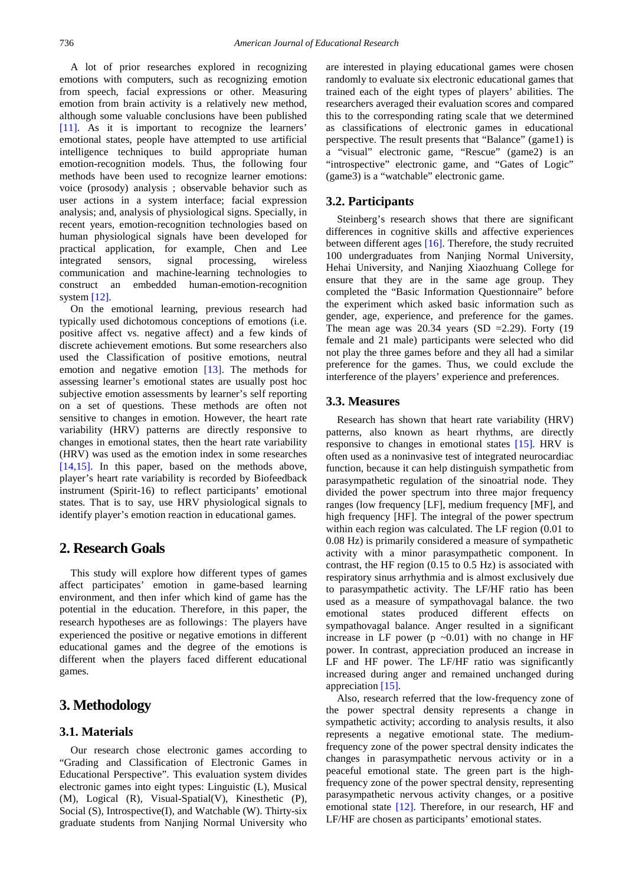A lot of prior researches explored in recognizing emotions with computers, such as recognizing emotion from speech, facial expressions or other. Measuring emotion from brain activity is a relatively new method, although some valuable conclusions have been published [\[11\].](#page-3-10) As it is important to recognize the learners' emotional states, people have attempted to use artificial intelligence techniques to build appropriate human emotion-recognition models. Thus, the following four methods have been used to recognize learner emotions: voice (prosody) analysis ; observable behavior such as user actions in a system interface; facial expression analysis; and, analysis of physiological signs. Specially, in recent years, emotion-recognition technologies based on human physiological signals have been developed for practical application, for example, Chen and Lee integrated sensors, signal processing, wireless communication and machine-learning technologies to construct an embedded human-emotion-recognition system [\[12\].](#page-3-11)

On the emotional learning, previous research had typically used dichotomous conceptions of emotions (i.e. positive affect vs. negative affect) and a few kinds of discrete achievement emotions. But some researchers also used the Classification of positive emotions, neutral emotion and negative emotion [\[13\].](#page-3-12) The methods for assessing learner's emotional states are usually post hoc subjective emotion assessments by learner's self reporting on a set of questions. These methods are often not sensitive to changes in emotion. However, the heart rate variability (HRV) patterns are directly responsive to changes in emotional states, then the heart rate variability (HRV) was used as the emotion index in some researches [\[14,15\].](#page-3-13) In this paper, based on the methods above, player's heart rate variability is recorded by Biofeedback instrument (Spirit-16) to reflect participants' emotional states. That is to say, use HRV physiological signals to identify player's emotion reaction in educational games.

# **2. Research Goals**

This study will explore how different types of games affect participates' emotion in game-based learning environment, and then infer which kind of game has the potential in the education. Therefore, in this paper, the research hypotheses are as followings: The players have experienced the positive or negative emotions in different educational games and the degree of the emotions is different when the players faced different educational games.

# **3. Methodology**

### **3.1. Material***s*

Our research chose electronic games according to "Grading and Classification of Electronic Games in Educational Perspective". This evaluation system divides electronic games into eight types: Linguistic (L), Musical (M), Logical (R), Visual-Spatial(V), Kinesthetic (P), Social (S), Introspective(I), and Watchable (W). Thirty-six graduate students from Nanjing Normal University who are interested in playing educational games were chosen randomly to evaluate six electronic educational games that trained each of the eight types of players' abilities. The researchers averaged their evaluation scores and compared this to the corresponding rating scale that we determined as classifications of electronic games in educational perspective. The result presents that "Balance" (game1) is a "visual" electronic game, "Rescue" (game2) is an "introspective" electronic game, and "Gates of Logic" (game3) is a "watchable" electronic game.

### **3.2. Participant***s*

Steinberg's research shows that there are significant differences in cognitive skills and affective experiences between different ages [\[16\].](#page-4-0) Therefore, the study recruited 100 undergraduates from Nanjing Normal University, Hehai University, and Nanjing Xiaozhuang College for ensure that they are in the same age group. They completed the "Basic Information Questionnaire" before the experiment which asked basic information such as gender, age, experience, and preference for the games. The mean age was  $20.34$  years (SD =2.29). Forty (19 female and 21 male) participants were selected who did not play the three games before and they all had a similar preference for the games. Thus, we could exclude the interference of the players' experience and preferences.

#### **3.3. Measures**

Research has shown that heart rate variability (HRV) patterns, also known as heart rhythms, are directly responsive to changes in emotional states [\[15\].](#page-3-14) HRV is often used as a noninvasive test of integrated neurocardiac function, because it can help distinguish sympathetic from parasympathetic regulation of the sinoatrial node. They divided the power spectrum into three major frequency ranges (low frequency [LF], medium frequency [MF], and high frequency [HF]. The integral of the power spectrum within each region was calculated. The LF region (0.01 to 0.08 Hz) is primarily considered a measure of sympathetic activity with a minor parasympathetic component. In contrast, the HF region (0.15 to 0.5 Hz) is associated with respiratory sinus arrhythmia and is almost exclusively due to parasympathetic activity. The LF/HF ratio has been used as a measure of sympathovagal balance. the two emotional states produced different effects on sympathovagal balance. Anger resulted in a significant increase in LF power (p  $\sim$ 0.01) with no change in HF power. In contrast, appreciation produced an increase in LF and HF power. The LF/HF ratio was significantly increased during anger and remained unchanged during appreciation [\[15\].](#page-3-14)

Also, research referred that the low-frequency zone of the power spectral density represents a change in sympathetic activity; according to analysis results, it also represents a negative emotional state. The mediumfrequency zone of the power spectral density indicates the changes in parasympathetic nervous activity or in a peaceful emotional state. The green part is the highfrequency zone of the power spectral density, representing parasympathetic nervous activity changes, or a positive emotional state [\[12\].](#page-3-11) Therefore, in our research, HF and LF/HF are chosen as participants' emotional states.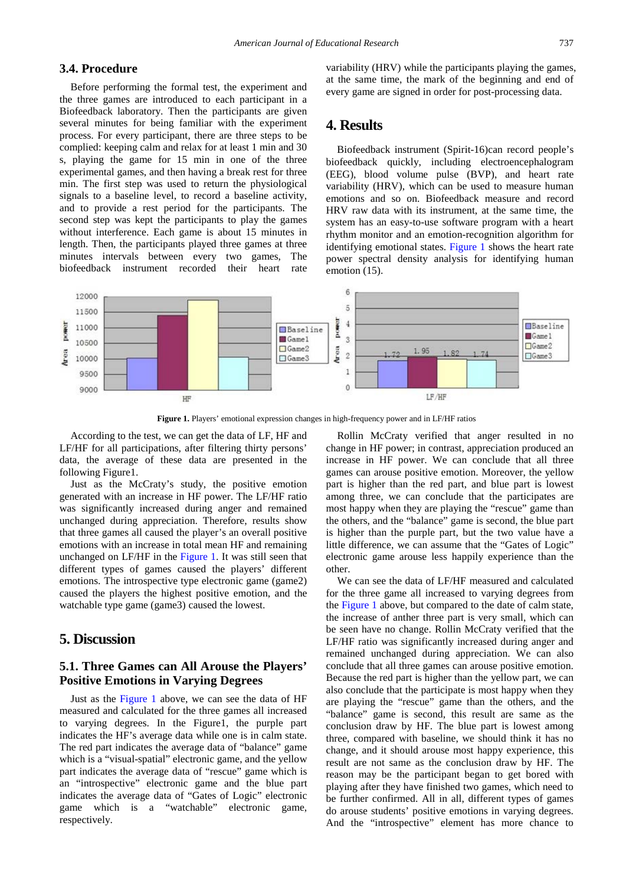#### **3.4. Procedure**

Before performing the formal test, the experiment and the three games are introduced to each participant in a Biofeedback laboratory. Then the participants are given several minutes for being familiar with the experiment process. For every participant, there are three steps to be complied: keeping calm and relax for at least 1 min and 30 s, playing the game for 15 min in one of the three experimental games, and then having a break rest for three min. The first step was used to return the physiological signals to a baseline level, to record a baseline activity, and to provide a rest period for the participants. The second step was kept the participants to play the games without interference. Each game is about 15 minutes in length. Then, the participants played three games at three minutes intervals between every two games, The biofeedback instrument recorded their heart rate

variability (HRV) while the participants playing the games, at the same time, the mark of the beginning and end of every game are signed in order for post-processing data.

#### **4. Results**

Biofeedback instrument (Spirit-16)can record people's biofeedback quickly, including electroencephalogram (EEG), blood volume pulse (BVP), and heart rate variability (HRV), which can be used to measure human emotions and so on. Biofeedback measure and record HRV raw data with its instrument, at the same time, the system has an easy-to-use software program with a heart rhythm monitor and an emotion-recognition algorithm for identifying emotional states. [Figure 1](#page-2-0) shows the heart rate power spectral density analysis for identifying human emotion (15).

<span id="page-2-0"></span>

Figure 1. Players' emotional expression changes in high-frequency power and in LF/HF ratios

According to the test, we can get the data of LF, HF and LF/HF for all participations, after filtering thirty persons' data, the average of these data are presented in the following Figure1.

Just as the McCraty's study, the positive emotion generated with an increase in HF power. The LF/HF ratio was significantly increased during anger and remained unchanged during appreciation. Therefore, results show that three games all caused the player's an overall positive emotions with an increase in total mean HF and remaining unchanged on LF/HF in the [Figure 1.](#page-2-0) It was still seen that different types of games caused the players' different emotions. The introspective type electronic game (game2) caused the players the highest positive emotion, and the watchable type game (game3) caused the lowest.

#### **5. Discussion**

#### **5.1. Three Games can All Arouse the Players' Positive Emotions in Varying Degrees**

Just as the [Figure 1](#page-2-0) above, we can see the data of HF measured and calculated for the three games all increased to varying degrees. In the Figure1, the purple part indicates the HF's average data while one is in calm state. The red part indicates the average data of "balance" game which is a "visual-spatial" electronic game, and the yellow part indicates the average data of "rescue" game which is an "introspective" electronic game and the blue part indicates the average data of "Gates of Logic" electronic game which is a "watchable" electronic game, respectively.

Rollin McCraty verified that anger resulted in no change in HF power; in contrast, appreciation produced an increase in HF power. We can conclude that all three games can arouse positive emotion. Moreover, the yellow part is higher than the red part, and blue part is lowest among three, we can conclude that the participates are most happy when they are playing the "rescue" game than the others, and the "balance" game is second, the blue part is higher than the purple part, but the two value have a little difference, we can assume that the "Gates of Logic" electronic game arouse less happily experience than the other.

We can see the data of LF/HF measured and calculated for the three game all increased to varying degrees from the [Figure 1](#page-2-0) above, but compared to the date of calm state, the increase of anther three part is very small, which can be seen have no change. Rollin McCraty verified that the LF/HF ratio was significantly increased during anger and remained unchanged during appreciation. We can also conclude that all three games can arouse positive emotion. Because the red part is higher than the yellow part, we can also conclude that the participate is most happy when they are playing the "rescue" game than the others, and the "balance" game is second, this result are same as the conclusion draw by HF. The blue part is lowest among three, compared with baseline, we should think it has no change, and it should arouse most happy experience, this result are not same as the conclusion draw by HF. The reason may be the participant began to get bored with playing after they have finished two games, which need to be further confirmed. All in all, different types of games do arouse students' positive emotions in varying degrees. And the "introspective" element has more chance to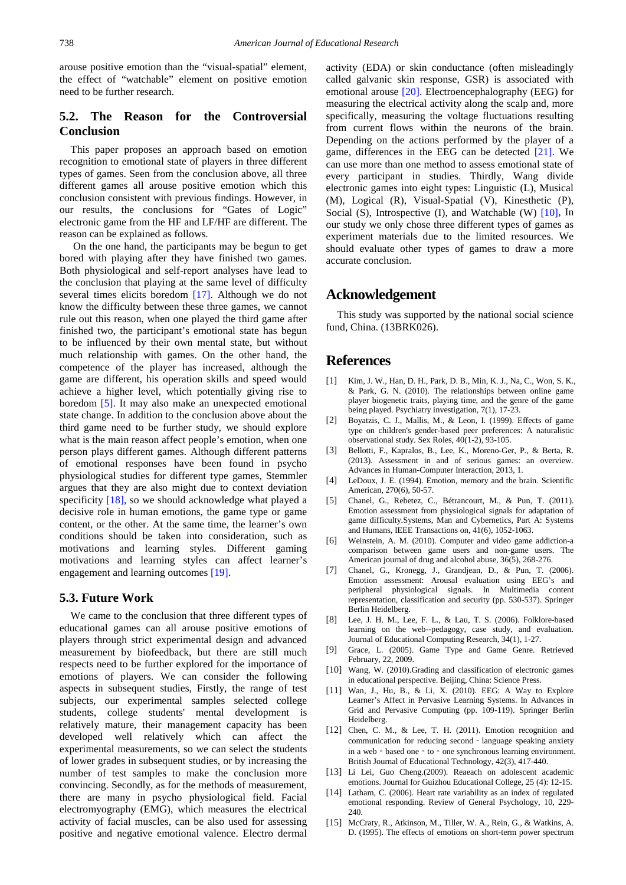arouse positive emotion than the "visual-spatial" element, the effect of "watchable" element on positive emotion need to be further research.

#### **5.2. The Reason for the Controversial Conclusion**

This paper proposes an approach based on emotion recognition to emotional state of players in three different types of games. Seen from the conclusion above, all three different games all arouse positive emotion which this conclusion consistent with previous findings. However, in our results, the conclusions for "Gates of Logic" electronic game from the HF and LF/HF are different. The reason can be explained as follows.

On the one hand, the participants may be begun to get bored with playing after they have finished two games. Both physiological and self-report analyses have lead to the conclusion that playing at the same level of difficulty several times elicits boredom [\[17\].](#page-4-1) Although we do not know the difficulty between these three games, we cannot rule out this reason, when one played the third game after finished two, the participant's emotional state has begun to be influenced by their own mental state, but without much relationship with games. On the other hand, the competence of the player has increased, although the game are different, his operation skills and speed would achieve a higher level, which potentially giving rise to boredom [\[5\].](#page-3-4) It may also make an unexpected emotional state change. In addition to the conclusion above about the third game need to be further study, we should explore what is the main reason affect people's emotion, when one person plays different games. Although different patterns of emotional responses have been found in psycho physiological studies for different type games, Stemmler argues that they are also might due to context deviation specificity [\[18\],](#page-4-2) so we should acknowledge what played a decisive role in human emotions, the game type or game content, or the other. At the same time, the learner's own conditions should be taken into consideration, such as motivations and learning styles. Different gaming motivations and learning styles can affect learner's engagement and learning outcomes [\[19\].](#page-4-3)

#### **5.3. Future Work**

We came to the conclusion that three different types of educational games can all arouse positive emotions of players through strict experimental design and advanced measurement by biofeedback, but there are still much respects need to be further explored for the importance of emotions of players. We can consider the following aspects in subsequent studies, Firstly, the range of test subjects, our experimental samples selected college students, college students' mental development is relatively mature, their management capacity has been developed well relatively which can affect the experimental measurements, so we can select the students of lower grades in subsequent studies, or by increasing the number of test samples to make the conclusion more convincing. Secondly, as for the methods of measurement, there are many in psycho physiological field. Facial electromyography (EMG), which measures the electrical activity of facial muscles, can be also used for assessing positive and negative emotional valence. Electro dermal

activity (EDA) or skin conductance (often misleadingly called galvanic skin response, GSR) is associated with emotional arouse [\[20\].](#page-4-4) Electroencephalography (EEG) for measuring the electrical activity along the scalp and, more specifically, measuring the voltage fluctuations resulting from current flows within the neurons of the brain. Depending on the actions performed by the player of a game, differences in the EEG can be detected [\[21\].](#page-4-5) We can use more than one method to assess emotional state of every participant in studies. Thirdly, Wang divide electronic games into eight types: Linguistic (L), Musical (M), Logical (R), Visual-Spatial (V), Kinesthetic (P), Social (S), Introspective (I), and Watchable (W) [\[10\],](#page-3-9) In our study we only chose three different types of games as experiment materials due to the limited resources. We should evaluate other types of games to draw a more accurate conclusion.

#### **Acknowledgement**

This study was supported by the national social science fund, China. (13BRK026).

#### **References**

- <span id="page-3-0"></span>[1] Kim, J. W., Han, D. H., Park, D. B., Min, K. J., Na, C., Won, S. K., & Park, G. N. (2010). The relationships between online game player biogenetic traits, playing time, and the genre of the game being played. Psychiatry investigation, 7(1), 17-23.
- <span id="page-3-1"></span>[2] Boyatzis, C. J., Mallis, M., & Leon, I. (1999). Effects of game type on children's gender-based peer preferences: A naturalistic observational study. Sex Roles, 40(1-2), 93-105.
- <span id="page-3-2"></span>[3] Bellotti, F., Kapralos, B., Lee, K., Moreno-Ger, P., & Berta, R. (2013). Assessment in and of serious games: an overview. Advances in Human-Computer Interaction, 2013, 1.
- <span id="page-3-3"></span>[4] LeDoux, J. E. (1994). Emotion, memory and the brain. Scientific American, 270(6), 50-57.
- <span id="page-3-4"></span>[5] Chanel, G., Rebetez, C., Bétrancourt, M., & Pun, T. (2011). Emotion assessment from physiological signals for adaptation of game difficulty.Systems, Man and Cybernetics, Part A: Systems and Humans, IEEE Transactions on, 41(6), 1052-1063.
- <span id="page-3-5"></span>[6] Weinstein, A. M. (2010). Computer and video game addiction-a comparison between game users and non-game users. The American journal of drug and alcohol abuse, 36(5), 268-276.
- <span id="page-3-6"></span>[7] Chanel, G., Kronegg, J., Grandjean, D., & Pun, T. (2006). Emotion assessment: Arousal evaluation using EEG's and peripheral physiological signals. In Multimedia content representation, classification and security (pp. 530-537). Springer Berlin Heidelberg.
- <span id="page-3-7"></span>[8] Lee, J. H. M., Lee, F. L., & Lau, T. S. (2006). Folklore-based learning on the web--pedagogy, case study, and evaluation. Journal of Educational Computing Research, 34(1), 1-27.
- <span id="page-3-8"></span>[9] Grace, L. (2005). Game Type and Game Genre. Retrieved February, 22, 2009.
- <span id="page-3-9"></span>[10] Wang, W. (2010).Grading and classification of electronic games in educational perspective. Beijing, China: Science Press.
- <span id="page-3-10"></span>[11] Wan, J., Hu, B., & Li, X. (2010). EEG: A Way to Explore Learner's Affect in Pervasive Learning Systems. In Advances in Grid and Pervasive Computing (pp. 109-119). Springer Berlin Heidelberg.
- <span id="page-3-11"></span>[12] Chen, C. M., & Lee, T. H. (2011). Emotion recognition and communication for reducing second - language speaking anxiety in a web - based one - to - one synchronous learning environment. British Journal of Educational Technology, 42(3), 417-440.
- <span id="page-3-12"></span>[13] Li Lei, Guo Cheng.(2009). Reaeach on adolescent academic emotions. Journal for Guizhou Educational College, 25 (4): 12-15.
- <span id="page-3-13"></span>[14] Latham, C. (2006). Heart rate variability as an index of regulated emotional responding. Review of General Psychology, 10, 229- 240.
- <span id="page-3-14"></span>[15] McCraty, R., Atkinson, M., Tiller, W. A., Rein, G., & Watkins, A. D. (1995). The effects of emotions on short-term power spectrum